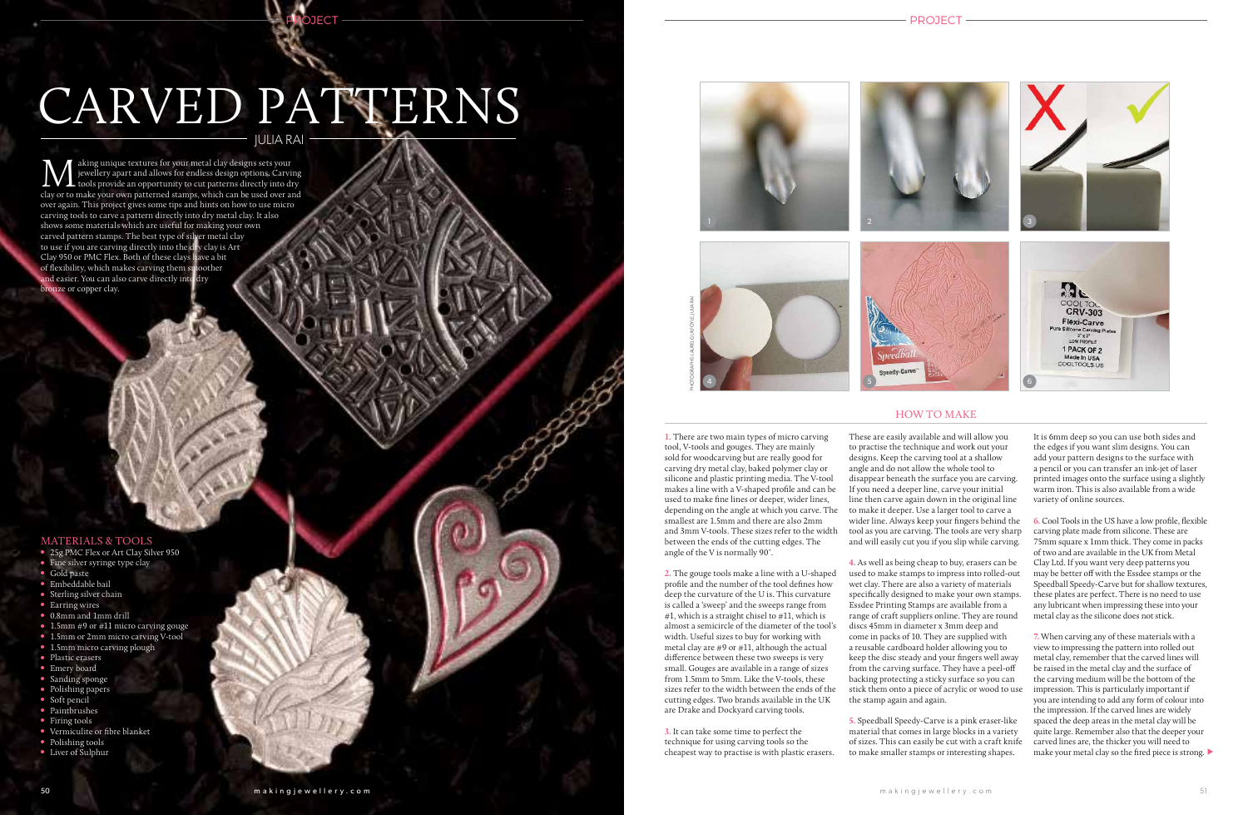### PROJECT

# CARVED PATTERNS JULIA RAI

**PROJECT** 

**M** aking unique textures for your metal clay designs sets your jewellery apart and allows for endless design options. Carving clay or to make your own patterned stamps, which can be used over and aking unique textures for your metal clay designs sets your jewellery apart and allows for endless design options. Carving tools provide an opportunity to cut patterns directly into dry over again. This project gives some tips and hints on how to use micro carving tools to carve a pattern directly into dry metal clay. It also shows some materials which are useful for making your own carved pattern stamps. The best type of silver metal clay to use if you are carving directly into the dry clay is Art Clay 950 or PMC Flex. Both of these clays have a bit of flexibility, which makes carving them smoother and easier. You can also carve directly into dry bronze or copper clay.

## HOW TO MAKE



**1.** There are two main types of micro carving tool, V-tools and gouges. They are mainly sold for woodcarving but are really good for carving dry metal clay, baked polymer clay or silicone and plastic printing media. The V-tool makes a line with a V-shaped profile and can be used to make fine lines or deeper, wider lines, depending on the angle at which you carve. The smallest are 1.5mm and there are also 2mm and 3mm V-tools. These sizes refer to the width between the ends of the cutting edges. The angle of the V is normally 90˚.

**2.** The gouge tools make a line with a U-shaped profile and the number of the tool defines how deep the curvature of the U is. This curvature is called a 'sweep' and the sweeps range from #1, which is a straight chisel to  $#11$ , which is almost a semicircle of the diameter of the tool's width. Useful sizes to buy for working with metal clay are #9 or #11, although the actual difference between these two sweeps is very small. Gouges are available in a range of sizes from 1.5mm to 5mm. Like the V-tools, these sizes refer to the width between the ends of the cutting edges. Two brands available in the UK are Drake and Dockyard carving tools.

**3.** It can take some time to perfect the technique for using carving tools so the cheapest way to practise is with plastic erasers.



make your metal clay so the fired piece is strong.  $\blacktriangleright$ **7.** When carving any of these materials with a view to impressing the pattern into rolled out metal clay, remember that the carved lines will be raised in the metal clay and the surface of the carving medium will be the bottom of the impression. This is particularly important if you are intending to add any form of colour into the impression. If the carved lines are widely spaced the deep areas in the metal clay will be quite large. Remember also that the deeper your carved lines are, the thicker you will need to

These are easily available and will allow you to practise the technique and work out your designs. Keep the carving tool at a shallow angle and do not allow the whole tool to disappear beneath the surface you are carving. If you need a deeper line, carve your initial line then carve again down in the original line to make it deeper. Use a larger tool to carve a wider line. Always keep your fingers behind the tool as you are carving. The tools are very sharp and will easily cut you if you slip while carving. **4.** As well as being cheap to buy, erasers can be used to make stamps to impress into rolled-out wet clay. There are also a variety of materials specifically designed to make your own stamps.

Essdee Printing Stamps are available from a range of craft suppliers online. They are round discs 45mm in diameter x 3mm deep and come in packs of 10. They are supplied with a reusable cardboard holder allowing you to keep the disc steady and your fingers well away from the carving surface. They have a peel-off backing protecting a sticky surface so you can stick them onto a piece of acrylic or wood to use the stamp again and again. **5.** Speedball Speedy-Carve is a pink eraser-like

material that comes in large blocks in a variety of sizes. This can easily be cut with a craft knife to make smaller stamps or interesting shapes.

It is 6mm deep so you can use both sides and the edges if you want slim designs. You can add your pattern designs to the surface with a pencil or you can transfer an ink-jet of laser printed images onto the surface using a slightly warm iron. This is also available from a wide variety of online sources.

**6.** Cool Tools in the US have a low profile, flexible carving plate made from silicone. These are 75mm square x 1mm thick. They come in packs of two and are available in the UK from Metal Clay Ltd. If you want very deep patterns you may be better off with the Essdee stamps or the Speedball Speedy-Carve but for shallow textures, these plates are perfect. There is no need to use any lubricant when impressing these into your metal clay as the silicone does not stick.



#### MATERIALS & TOOLS

- 25g PMC Flex or Art Clay Silver 950
- **•** Fine silver syringe type clay
- Gold paste
- $\bullet$  Embeddable bail
- Sterling silver chain
- $\bullet$  Earring wires
- <sup>l</sup> 0.8mm and 1mm drill
- $\bullet$  1.5mm #9 or #11 micro carving gouge
- 1.5mm or 2mm micro carving V-tool **·** 1.5mm micro carving plough
- Plastic erasers
- **Emery board**
- 
- Sanding sponge • Polishing papers
- $\bullet$  Soft pencil
- Paintbrushes
- Firing tools
- **·** Vermiculite or fibre blanket
- Polishing tools
- Liver of Sulphur